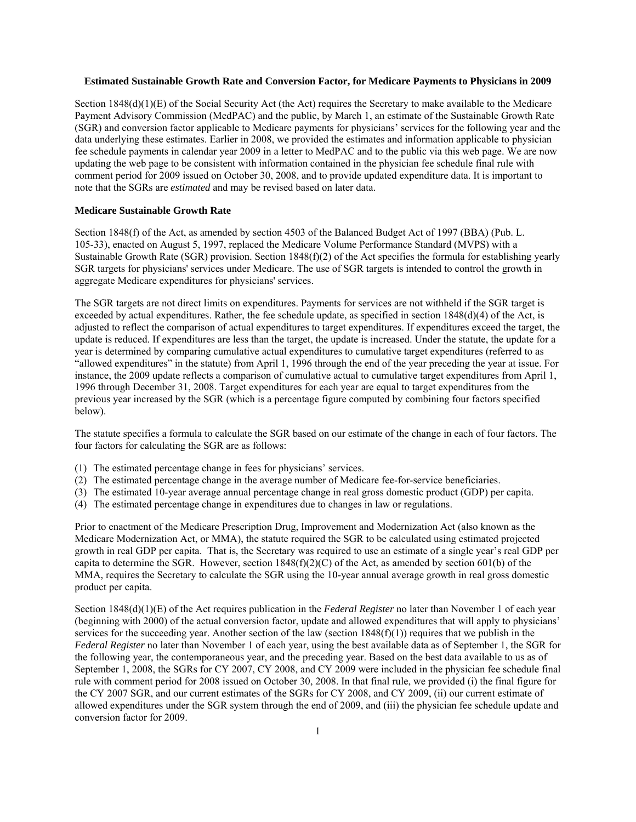### **Estimated Sustainable Growth Rate and Conversion Factor, for Medicare Payments to Physicians in 2009**

Section  $1848(d)(1)(E)$  of the Social Security Act (the Act) requires the Secretary to make available to the Medicare Payment Advisory Commission (MedPAC) and the public, by March 1, an estimate of the Sustainable Growth Rate (SGR) and conversion factor applicable to Medicare payments for physicians' services for the following year and the data underlying these estimates. Earlier in 2008, we provided the estimates and information applicable to physician fee schedule payments in calendar year 2009 in a letter to MedPAC and to the public via this web page. We are now updating the web page to be consistent with information contained in the physician fee schedule final rule with comment period for 2009 issued on October 30, 2008, and to provide updated expenditure data. It is important to note that the SGRs are *estimated* and may be revised based on later data.

#### **Medicare Sustainable Growth Rate**

Section 1848(f) of the Act, as amended by section 4503 of the Balanced Budget Act of 1997 (BBA) (Pub. L. 105-33), enacted on August 5, 1997, replaced the Medicare Volume Performance Standard (MVPS) with a Sustainable Growth Rate (SGR) provision. Section 1848(f)(2) of the Act specifies the formula for establishing yearly SGR targets for physicians' services under Medicare. The use of SGR targets is intended to control the growth in aggregate Medicare expenditures for physicians' services.

The SGR targets are not direct limits on expenditures. Payments for services are not withheld if the SGR target is exceeded by actual expenditures. Rather, the fee schedule update, as specified in section 1848(d)(4) of the Act, is adjusted to reflect the comparison of actual expenditures to target expenditures. If expenditures exceed the target, the update is reduced. If expenditures are less than the target, the update is increased. Under the statute, the update for a year is determined by comparing cumulative actual expenditures to cumulative target expenditures (referred to as "allowed expenditures" in the statute) from April 1, 1996 through the end of the year preceding the year at issue. For instance, the 2009 update reflects a comparison of cumulative actual to cumulative target expenditures from April 1, 1996 through December 31, 2008. Target expenditures for each year are equal to target expenditures from the previous year increased by the SGR (which is a percentage figure computed by combining four factors specified below).

The statute specifies a formula to calculate the SGR based on our estimate of the change in each of four factors. The four factors for calculating the SGR are as follows:

- (1) The estimated percentage change in fees for physicians' services.
- (2) The estimated percentage change in the average number of Medicare fee-for-service beneficiaries.
- (3) The estimated 10-year average annual percentage change in real gross domestic product (GDP) per capita.
- (4) The estimated percentage change in expenditures due to changes in law or regulations.

Prior to enactment of the Medicare Prescription Drug, Improvement and Modernization Act (also known as the Medicare Modernization Act, or MMA), the statute required the SGR to be calculated using estimated projected growth in real GDP per capita. That is, the Secretary was required to use an estimate of a single year's real GDP per capita to determine the SGR. However, section  $1848(f)(2)(C)$  of the Act, as amended by section 601(b) of the MMA, requires the Secretary to calculate the SGR using the 10-year annual average growth in real gross domestic product per capita.

Section 1848(d)(1)(E) of the Act requires publication in the *Federal Register* no later than November 1 of each year (beginning with 2000) of the actual conversion factor, update and allowed expenditures that will apply to physicians' services for the succeeding year. Another section of the law (section  $1848(f)(1)$ ) requires that we publish in the *Federal Register* no later than November 1 of each year, using the best available data as of September 1, the SGR for the following year, the contemporaneous year, and the preceding year. Based on the best data available to us as of September 1, 2008, the SGRs for CY 2007, CY 2008, and CY 2009 were included in the physician fee schedule final rule with comment period for 2008 issued on October 30, 2008. In that final rule, we provided (i) the final figure for the CY 2007 SGR, and our current estimates of the SGRs for CY 2008, and CY 2009, (ii) our current estimate of allowed expenditures under the SGR system through the end of 2009, and (iii) the physician fee schedule update and conversion factor for 2009.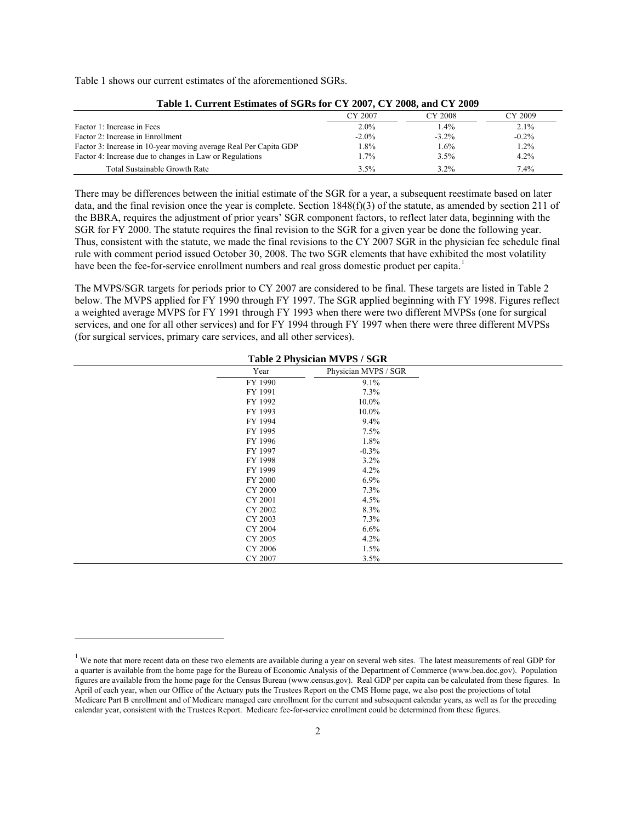Table 1 shows our current estimates of the aforementioned SGRs.

 $\overline{a}$ 

| Table 1. Current estimates of SGRs for C 1 2007, C 1 2006, and C 1 2009 |          |          |          |
|-------------------------------------------------------------------------|----------|----------|----------|
|                                                                         | CY 2007  | CY 2008  | CY 2009  |
| Factor 1: Increase in Fees                                              | $2.0\%$  | 1.4%     | $2.1\%$  |
| Factor 2: Increase in Enrollment                                        | $-2.0\%$ | $-3.2\%$ | $-0.2\%$ |
| Factor 3: Increase in 10-year moving average Real Per Capita GDP        | 1.8%     | 1.6%     | 1.2%     |
| Factor 4: Increase due to changes in Law or Regulations                 | $1.7\%$  | 3.5%     | 4.2%     |
| Total Sustainable Growth Rate                                           | 3.5%     | $3.2\%$  | 7.4%     |

# **Table 1. Current Estimates of SGRs for CY 2007, CY 2008, and CY 2009**

There may be differences between the initial estimate of the SGR for a year, a subsequent reestimate based on later data, and the final revision once the year is complete. Section 1848(f)(3) of the statute, as amended by section 211 of the BBRA, requires the adjustment of prior years' SGR component factors, to reflect later data, beginning with the SGR for FY 2000. The statute requires the final revision to the SGR for a given year be done the following year. Thus, consistent with the statute, we made the final revisions to the CY 2007 SGR in the physician fee schedule final rule with comment period issued October 30, 2008. The two SGR elements that have exhibited the most volatility have been the fee-for-service enrollment numbers and real gross domestic product per capita.<sup>[1](#page-1-0)</sup>

The MVPS/SGR targets for periods prior to CY 2007 are considered to be final. These targets are listed in Table 2 below. The MVPS applied for FY 1990 through FY 1997. The SGR applied beginning with FY 1998. Figures reflect a weighted average MVPS for FY 1991 through FY 1993 when there were two different MVPSs (one for surgical services, and one for all other services) and for FY 1994 through FY 1997 when there were three different MVPSs (for surgical services, primary care services, and all other services).

|                | Table 2 Filysiciali MVF5 / SUR |  |
|----------------|--------------------------------|--|
| Year           | Physician MVPS / SGR           |  |
| FY 1990        | 9.1%                           |  |
| FY 1991        | 7.3%                           |  |
| FY 1992        | 10.0%                          |  |
| FY 1993        | 10.0%                          |  |
| FY 1994        | 9.4%                           |  |
| FY 1995        | 7.5%                           |  |
| FY 1996        | 1.8%                           |  |
| FY 1997        | $-0.3%$                        |  |
| FY 1998        | 3.2%                           |  |
| FY 1999        | 4.2%                           |  |
| FY 2000        | $6.9\%$                        |  |
| <b>CY 2000</b> | 7.3%                           |  |
| CY 2001        | 4.5%                           |  |
| CY 2002        | 8.3%                           |  |
| CY 2003        | 7.3%                           |  |
| CY 2004        | 6.6%                           |  |
| CY 2005        | 4.2%                           |  |
| CY 2006        | 1.5%                           |  |
| CY 2007        | 3.5%                           |  |

# **Table 2 Physician MVPS / SGR**

<span id="page-1-0"></span> $<sup>1</sup>$  We note that more recent data on these two elements are available during a year on several web sites. The latest measurements of real GDP for</sup> a quarter is available from the home page for the Bureau of Economic Analysis of the Department of Commerce (www.bea.doc.gov). Population figures are available from the home page for the Census Bureau (www.census.gov). Real GDP per capita can be calculated from these figures. In April of each year, when our Office of the Actuary puts the Trustees Report on the CMS Home page, we also post the projections of total Medicare Part B enrollment and of Medicare managed care enrollment for the current and subsequent calendar years, as well as for the preceding calendar year, consistent with the Trustees Report. Medicare fee-for-service enrollment could be determined from these figures.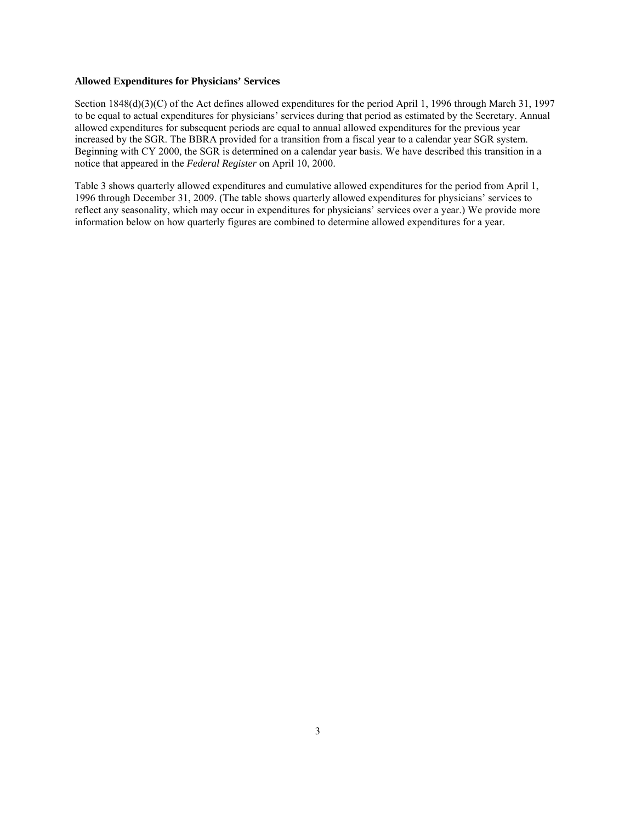#### **Allowed Expenditures for Physicians' Services**

Section 1848(d)(3)(C) of the Act defines allowed expenditures for the period April 1, 1996 through March 31, 1997 to be equal to actual expenditures for physicians' services during that period as estimated by the Secretary. Annual allowed expenditures for subsequent periods are equal to annual allowed expenditures for the previous year increased by the SGR. The BBRA provided for a transition from a fiscal year to a calendar year SGR system. Beginning with CY 2000, the SGR is determined on a calendar year basis. We have described this transition in a notice that appeared in the *Federal Register* on April 10, 2000.

Table 3 shows quarterly allowed expenditures and cumulative allowed expenditures for the period from April 1, 1996 through December 31, 2009. (The table shows quarterly allowed expenditures for physicians' services to reflect any seasonality, which may occur in expenditures for physicians' services over a year.) We provide more information below on how quarterly figures are combined to determine allowed expenditures for a year.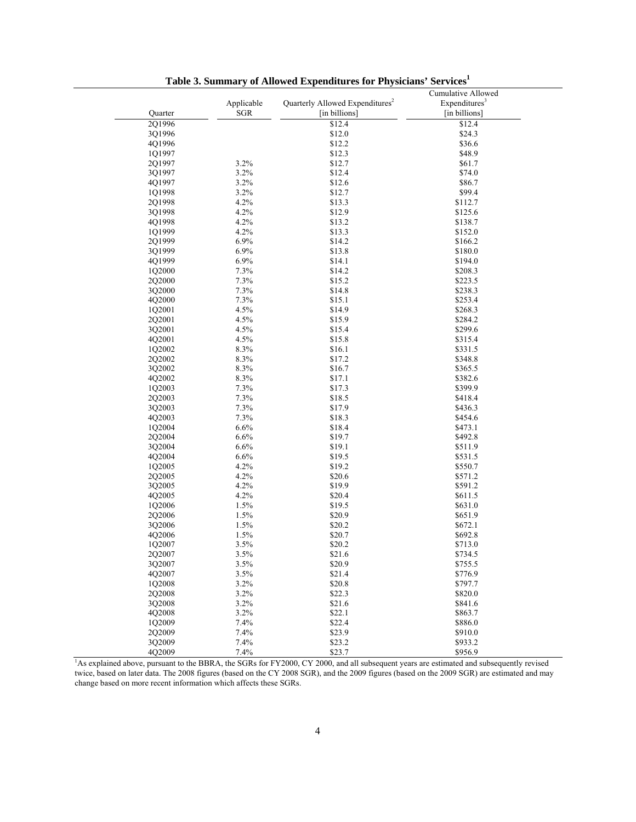| Quarter | Applicable<br><b>SGR</b> | Quarterly Allowed Expenditures <sup>2</sup><br>[in billions]                                                                            | Cumulative Allowed<br>Expenditures <sup>3</sup><br>[in billions] |
|---------|--------------------------|-----------------------------------------------------------------------------------------------------------------------------------------|------------------------------------------------------------------|
| 2Q1996  |                          | \$12.4                                                                                                                                  | \$12.4                                                           |
| 3Q1996  |                          | \$12.0                                                                                                                                  | \$24.3                                                           |
| 4Q1996  |                          | \$12.2                                                                                                                                  | \$36.6                                                           |
| 1Q1997  |                          | \$12.3                                                                                                                                  | \$48.9                                                           |
| 2Q1997  | 3.2%                     | \$12.7                                                                                                                                  | \$61.7                                                           |
| 3Q1997  | 3.2%                     | \$12.4                                                                                                                                  | \$74.0                                                           |
| 4Q1997  | 3.2%                     | \$12.6                                                                                                                                  | \$86.7                                                           |
| 1Q1998  | 3.2%                     | \$12.7                                                                                                                                  | \$99.4                                                           |
| 2Q1998  | 4.2%                     | \$13.3                                                                                                                                  | \$112.7                                                          |
| 3Q1998  | 4.2%                     | \$12.9                                                                                                                                  | \$125.6                                                          |
| 4O1998  | 4.2%                     | \$13.2                                                                                                                                  | \$138.7                                                          |
| 1Q1999  | 4.2%                     | \$13.3                                                                                                                                  | \$152.0                                                          |
| 2Q1999  | 6.9%                     | \$14.2                                                                                                                                  | \$166.2                                                          |
| 3Q1999  | 6.9%                     | \$13.8                                                                                                                                  | \$180.0                                                          |
| 4Q1999  | 6.9%                     | \$14.1                                                                                                                                  | \$194.0                                                          |
| 1Q2000  | 7.3%                     | \$14.2                                                                                                                                  | \$208.3                                                          |
| 2Q2000  | 7.3%                     | \$15.2                                                                                                                                  | \$223.5                                                          |
| 3Q2000  | 7.3%                     | \$14.8                                                                                                                                  | \$238.3                                                          |
|         | 7.3%                     |                                                                                                                                         |                                                                  |
| 4Q2000  |                          | \$15.1                                                                                                                                  | \$253.4<br>\$268.3                                               |
| 1Q2001  | 4.5%                     | \$14.9                                                                                                                                  |                                                                  |
| 2Q2001  | 4.5%                     | \$15.9                                                                                                                                  | \$284.2                                                          |
| 3Q2001  | 4.5%                     | \$15.4                                                                                                                                  | \$299.6                                                          |
| 4Q2001  | 4.5%                     | \$15.8                                                                                                                                  | \$315.4                                                          |
| 1Q2002  | 8.3%                     | \$16.1                                                                                                                                  | \$331.5                                                          |
| 2Q2002  | 8.3%                     | \$17.2                                                                                                                                  | \$348.8                                                          |
| 3Q2002  | 8.3%                     | \$16.7                                                                                                                                  | \$365.5                                                          |
| 4Q2002  | 8.3%                     | \$17.1                                                                                                                                  | \$382.6                                                          |
| 1Q2003  | 7.3%                     | \$17.3                                                                                                                                  | \$399.9                                                          |
| 2Q2003  | 7.3%                     | \$18.5                                                                                                                                  | \$418.4                                                          |
| 3Q2003  | 7.3%                     | \$17.9                                                                                                                                  | \$436.3                                                          |
| 4Q2003  | 7.3%                     | \$18.3                                                                                                                                  | \$454.6                                                          |
| 1Q2004  | 6.6%                     | \$18.4                                                                                                                                  | \$473.1                                                          |
| 2Q2004  | 6.6%                     | \$19.7                                                                                                                                  | \$492.8                                                          |
| 3Q2004  | 6.6%                     | \$19.1                                                                                                                                  | \$511.9                                                          |
| 4Q2004  | 6.6%                     | \$19.5                                                                                                                                  | \$531.5                                                          |
| 1Q2005  | 4.2%                     | \$19.2                                                                                                                                  | \$550.7                                                          |
| 2Q2005  | 4.2%                     | \$20.6                                                                                                                                  | \$571.2                                                          |
| 3Q2005  | 4.2%                     | \$19.9                                                                                                                                  | \$591.2                                                          |
| 4Q2005  | 4.2%                     | \$20.4                                                                                                                                  | \$611.5                                                          |
| 1Q2006  | 1.5%                     | \$19.5                                                                                                                                  | \$631.0                                                          |
| 2Q2006  | 1.5%                     | \$20.9                                                                                                                                  | \$651.9                                                          |
| 3Q2006  | 1.5%                     | \$20.2                                                                                                                                  | \$672.1                                                          |
| 4Q2006  | 1.5%                     | \$20.7                                                                                                                                  | \$692.8                                                          |
| 1Q2007  | 3.5%                     | \$20.2                                                                                                                                  | \$713.0                                                          |
| 2Q2007  | 3.5%                     | \$21.6                                                                                                                                  | \$734.5                                                          |
| 3Q2007  | 3.5%                     | \$20.9                                                                                                                                  | \$755.5                                                          |
| 4Q2007  | 3.5%                     | \$21.4                                                                                                                                  | \$776.9                                                          |
| 1Q2008  | 3.2%                     | \$20.8                                                                                                                                  | \$797.7                                                          |
| 2Q2008  | 3.2%                     | \$22.3                                                                                                                                  | \$820.0                                                          |
| 3Q2008  | 3.2%                     | \$21.6                                                                                                                                  | \$841.6                                                          |
| 4Q2008  | 3.2%                     | \$22.1                                                                                                                                  | \$863.7                                                          |
|         |                          |                                                                                                                                         |                                                                  |
| 1Q2009  | 7.4%                     | \$22.4                                                                                                                                  | \$886.0                                                          |
| 202009  | 7.4%                     | \$23.9                                                                                                                                  | \$910.0                                                          |
| 3O2009  | 7.4%                     | \$23.2                                                                                                                                  | \$933.2                                                          |
| 4O2009  | 7.4%                     | \$23.7                                                                                                                                  | \$956.9                                                          |
|         |                          | As explained above, pursuant to the BBRA, the SGRs for FY2000, CY 2000, and all subsequent years are estimated and subsequently revised |                                                                  |

**Table 3. Summary of Allowed Expenditures for Physicians' Service[s1](#page-3-0)**

<span id="page-3-0"></span>twice, based on later data. The 2008 figures (based on the CY 2008 SGR), and the 2009 figures (based on the 2009 SGR) are estimated and may change based on more recent information which affects these SGRs.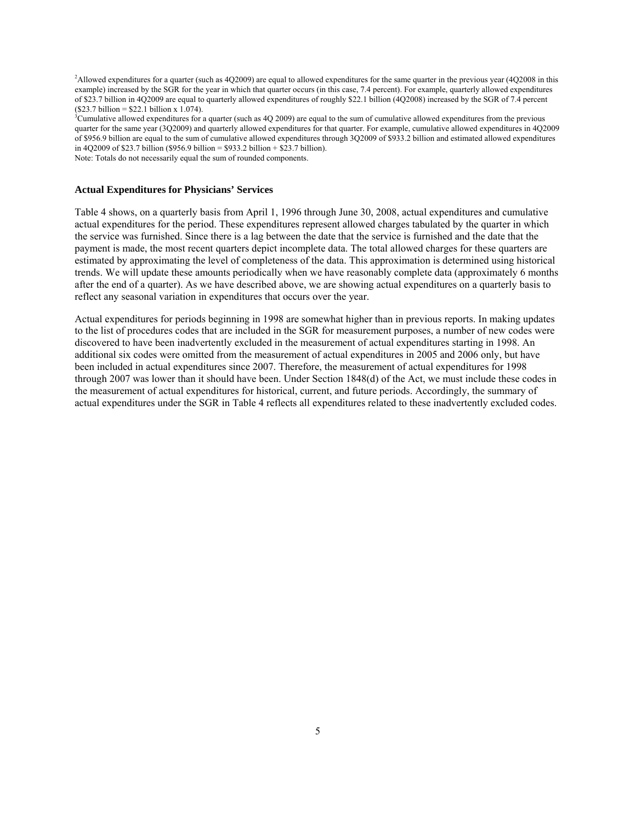<span id="page-4-0"></span>2 Allowed expenditures for a quarter (such as 4Q2009) are equal to allowed expenditures for the same quarter in the previous year (4Q2008 in this example) increased by the SGR for the year in which that quarter occurs (in this case, 7.4 percent). For example, quarterly allowed expenditures of \$23.7 billion in 4Q2009 are equal to quarterly allowed expenditures of roughly \$22.1 billion (4Q2008) increased by the SGR of 7.4 percent  $($23.7 billion = $22.1 billion x 1.074).$ 

<span id="page-4-1"></span> $^3$ Cumulative allowed expenditures for a quarter (such as 4Q 2009) are equal to the sum of cumulative allowed expenditures from the previous quarter for the same year (3Q2009) and quarterly allowed expenditures for that quarter. For example, cumulative allowed expenditures in 4Q2009 of \$956.9 billion are equal to the sum of cumulative allowed expenditures through 3Q2009 of \$933.2 billion and estimated allowed expenditures in 4Q2009 of \$23.7 billion (\$956.9 billion = \$933.2 billion + \$23.7 billion).

Note: Totals do not necessarily equal the sum of rounded components.

#### **Actual Expenditures for Physicians' Services**

Table 4 shows, on a quarterly basis from April 1, 1996 through June 30, 2008, actual expenditures and cumulative actual expenditures for the period. These expenditures represent allowed charges tabulated by the quarter in which the service was furnished. Since there is a lag between the date that the service is furnished and the date that the payment is made, the most recent quarters depict incomplete data. The total allowed charges for these quarters are estimated by approximating the level of completeness of the data. This approximation is determined using historical trends. We will update these amounts periodically when we have reasonably complete data (approximately 6 months after the end of a quarter). As we have described above, we are showing actual expenditures on a quarterly basis to reflect any seasonal variation in expenditures that occurs over the year.

Actual expenditures for periods beginning in 1998 are somewhat higher than in previous reports. In making updates to the list of procedures codes that are included in the SGR for measurement purposes, a number of new codes were discovered to have been inadvertently excluded in the measurement of actual expenditures starting in 1998. An additional six codes were omitted from the measurement of actual expenditures in 2005 and 2006 only, but have been included in actual expenditures since 2007. Therefore, the measurement of actual expenditures for 1998 through 2007 was lower than it should have been. Under Section 1848(d) of the Act, we must include these codes in the measurement of actual expenditures for historical, current, and future periods. Accordingly, the summary of actual expenditures under the SGR in Table 4 reflects all expenditures related to these inadvertently excluded codes.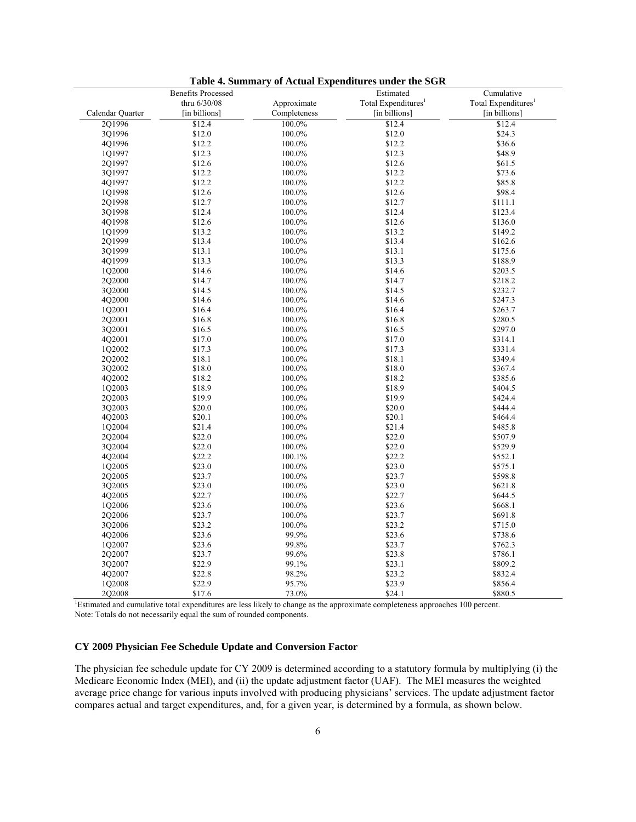|                  | <b>Benefits Processed</b> |              | Estimated                                                                                                                                  | Cumulative                      |
|------------------|---------------------------|--------------|--------------------------------------------------------------------------------------------------------------------------------------------|---------------------------------|
|                  | thru 6/30/08              | Approximate  | Total Expenditures <sup>1</sup>                                                                                                            | Total Expenditures <sup>1</sup> |
| Calendar Quarter | [in billions]             | Completeness | [in billions]                                                                                                                              | [in billions]                   |
| 201996           | \$12.4                    | 100.0%       | \$12.4                                                                                                                                     | \$12.4                          |
| 3Q1996           | \$12.0                    | 100.0%       | \$12.0                                                                                                                                     | \$24.3                          |
| 401996           | \$12.2                    | 100.0%       | \$12.2                                                                                                                                     | \$36.6                          |
| 1Q1997           | \$12.3                    | 100.0%       | \$12.3                                                                                                                                     | \$48.9                          |
| 201997           | \$12.6                    | 100.0%       | \$12.6                                                                                                                                     | \$61.5                          |
| 3Q1997           | \$12.2                    | 100.0%       | \$12.2                                                                                                                                     | \$73.6                          |
| 4Q1997           | \$12.2                    | 100.0%       | \$12.2                                                                                                                                     | \$85.8                          |
| 101998           | \$12.6                    | 100.0%       | \$12.6                                                                                                                                     | \$98.4                          |
| 2Q1998           | \$12.7                    | 100.0%       | \$12.7                                                                                                                                     |                                 |
| 3Q1998           | \$12.4                    |              | \$12.4                                                                                                                                     | \$111.1<br>\$123.4              |
|                  |                           | 100.0%       |                                                                                                                                            |                                 |
| 4Q1998           | \$12.6                    | 100.0%       | \$12.6                                                                                                                                     | \$136.0                         |
| 1Q1999           | \$13.2                    | 100.0%       | \$13.2                                                                                                                                     | \$149.2                         |
| 201999           | \$13.4                    | 100.0%       | \$13.4                                                                                                                                     | \$162.6                         |
| 3Q1999           | \$13.1                    | 100.0%       | \$13.1                                                                                                                                     | \$175.6                         |
| 4Q1999           | \$13.3                    | 100.0%       | \$13.3                                                                                                                                     | \$188.9                         |
| 1Q2000           | \$14.6                    | 100.0%       | \$14.6                                                                                                                                     | \$203.5                         |
| 2Q2000           | \$14.7                    | 100.0%       | \$14.7                                                                                                                                     | \$218.2                         |
| 3Q2000           | \$14.5                    | 100.0%       | \$14.5                                                                                                                                     | \$232.7                         |
| 4Q2000           | \$14.6                    | 100.0%       | \$14.6                                                                                                                                     | \$247.3                         |
| 1Q2001           | \$16.4                    | 100.0%       | \$16.4                                                                                                                                     | \$263.7                         |
| 2Q2001           | \$16.8                    | 100.0%       | \$16.8                                                                                                                                     | \$280.5                         |
| 3Q2001           | \$16.5                    | 100.0%       | \$16.5                                                                                                                                     | \$297.0                         |
| 4O2001           | \$17.0                    | 100.0%       | \$17.0                                                                                                                                     | \$314.1                         |
| 1Q2002           | \$17.3                    | 100.0%       | \$17.3                                                                                                                                     | \$331.4                         |
| 2Q2002           | \$18.1                    | 100.0%       | \$18.1                                                                                                                                     | \$349.4                         |
| 3Q2002           | \$18.0                    | 100.0%       | \$18.0                                                                                                                                     | \$367.4                         |
| 4Q2002           | \$18.2                    | 100.0%       | \$18.2                                                                                                                                     | \$385.6                         |
| 1Q2003           | \$18.9                    | 100.0%       | \$18.9                                                                                                                                     | \$404.5                         |
| 2Q2003           | \$19.9                    | 100.0%       | \$19.9                                                                                                                                     | \$424.4                         |
| 3O2003           | \$20.0                    | 100.0%       | \$20.0                                                                                                                                     | \$444.4                         |
| 4Q2003           | \$20.1                    | 100.0%       | \$20.1                                                                                                                                     | \$464.4                         |
| 1Q2004           | \$21.4                    | 100.0%       | \$21.4                                                                                                                                     | \$485.8                         |
| 2Q2004           | \$22.0                    | 100.0%       | \$22.0                                                                                                                                     | \$507.9                         |
| 3Q2004           | \$22.0                    | 100.0%       | \$22.0                                                                                                                                     | \$529.9                         |
| 4Q2004           | \$22.2                    | 100.1%       | \$22.2                                                                                                                                     | \$552.1                         |
| 1Q2005           | \$23.0                    | 100.0%       | \$23.0                                                                                                                                     | \$575.1                         |
| 2Q2005           | \$23.7                    | 100.0%       | \$23.7                                                                                                                                     | \$598.8                         |
| 3Q2005           | \$23.0                    | 100.0%       | \$23.0                                                                                                                                     | \$621.8                         |
| 4Q2005           | \$22.7                    | 100.0%       | \$22.7                                                                                                                                     | \$644.5                         |
| 1Q2006           | \$23.6                    | 100.0%       | \$23.6                                                                                                                                     | \$668.1                         |
| 2Q2006           | \$23.7                    | 100.0%       | \$23.7                                                                                                                                     | \$691.8                         |
| 3Q2006           | \$23.2                    | 100.0%       | \$23.2                                                                                                                                     | \$715.0                         |
| 4Q2006           | \$23.6                    | 99.9%        | \$23.6                                                                                                                                     | \$738.6                         |
| 1Q2007           | \$23.6                    | 99.8%        | \$23.7                                                                                                                                     | \$762.3                         |
| 202007           | \$23.7                    | 99.6%        | \$23.8                                                                                                                                     | \$786.1                         |
| 3Q2007           | \$22.9                    | 99.1%        | \$23.1                                                                                                                                     | \$809.2                         |
| 4Q2007           | \$22.8                    | 98.2%        | \$23.2                                                                                                                                     | \$832.4                         |
| 102008           | \$22.9                    | 95.7%        | \$23.9                                                                                                                                     | \$856.4                         |
| 2Q2008           | \$17.6                    | 73.0%        | \$24.1                                                                                                                                     | \$880.5                         |
|                  |                           |              | <sup>1</sup> Estimated and cumulative total expenditures are less likely to change as the approximate completeness approaches 100 percent. |                                 |

**Table 4. Summary of Actual Expenditures under the SGR** 

<span id="page-5-0"></span>Note: Totals do not necessarily equal the sum of rounded components.

## **CY 2009 Physician Fee Schedule Update and Conversion Factor**

The physician fee schedule update for CY 2009 is determined according to a statutory formula by multiplying (i) the Medicare Economic Index (MEI), and (ii) the update adjustment factor (UAF). The MEI measures the weighted average price change for various inputs involved with producing physicians' services. The update adjustment factor compares actual and target expenditures, and, for a given year, is determined by a formula, as shown below.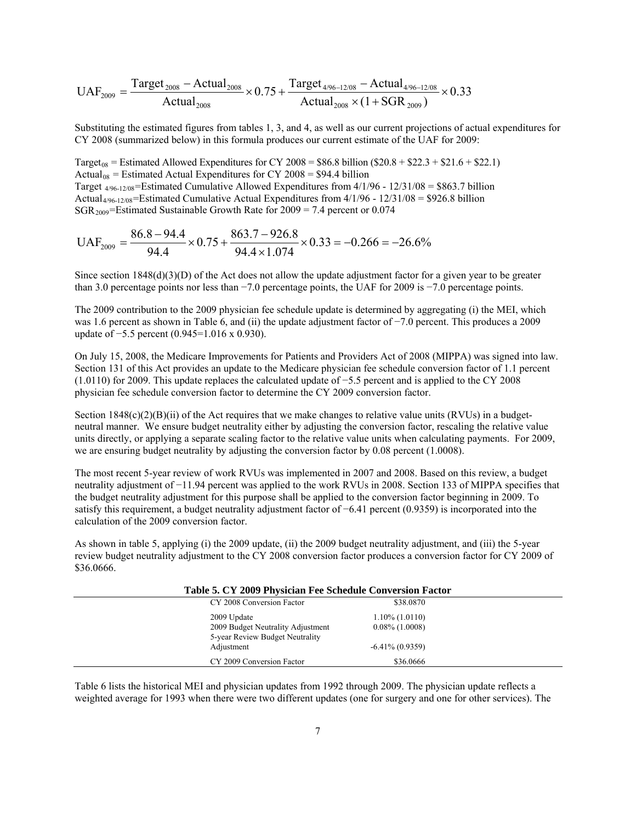$$
UAF_{2009} = \frac{Target_{2008} - Actual_{2008}}{Actual_{2008}} \times 0.75 + \frac{Target_{4/96-12/08} - Actual_{4/96-12/08}}{Actual_{2008} \times (1 + SGR_{2009})} \times 0.33
$$

Substituting the estimated figures from tables 1, 3, and 4, as well as our current projections of actual expenditures for CY 2008 (summarized below) in this formula produces our current estimate of the UAF for 2009:

Target<sub>08</sub> = Estimated Allowed Expenditures for CY 2008 =  $$86.8$  billion ( $$20.8 + $22.3 + $21.6 + $22.1$ ) Actual<sub>08</sub> = Estimated Actual Expenditures for CY 2008 =  $$94.4$  billion Target  $4/96-12/08$ =Estimated Cumulative Allowed Expenditures from  $4/1/96 - 12/31/08 = $863.7$  billion Actual<sub>4/96-12/08</sub>=Estimated Cumulative Actual Expenditures from  $4/1/96 - 12/31/08 = $926.8$  billion  $SGR_{2009}$ =Estimated Sustainable Growth Rate for 2009 = 7.4 percent or 0.074

$$
UAF_{2009} = \frac{86.8 - 94.4}{94.4} \times 0.75 + \frac{863.7 - 926.8}{94.4 \times 1.074} \times 0.33 = -0.266 = -26.6\%
$$

Since section  $1848(d)(3)(D)$  of the Act does not allow the update adjustment factor for a given year to be greater than 3.0 percentage points nor less than −7.0 percentage points, the UAF for 2009 is −7.0 percentage points.

The 2009 contribution to the 2009 physician fee schedule update is determined by aggregating (i) the MEI, which was 1.6 percent as shown in Table 6, and (ii) the update adjustment factor of −7.0 percent. This produces a 2009 update of −5.5 percent (0.945=1.016 x 0.930).

On July 15, 2008, the Medicare Improvements for Patients and Providers Act of 2008 (MIPPA) was signed into law. Section 131 of this Act provides an update to the Medicare physician fee schedule conversion factor of 1.1 percent (1.0110) for 2009. This update replaces the calculated update of −5.5 percent and is applied to the CY 2008 physician fee schedule conversion factor to determine the CY 2009 conversion factor.

Section  $1848(c)(2)(B)(ii)$  of the Act requires that we make changes to relative value units (RVUs) in a budgetneutral manner. We ensure budget neutrality either by adjusting the conversion factor, rescaling the relative value units directly, or applying a separate scaling factor to the relative value units when calculating payments. For 2009, we are ensuring budget neutrality by adjusting the conversion factor by 0.08 percent (1.0008).

The most recent 5-year review of work RVUs was implemented in 2007 and 2008. Based on this review, a budget neutrality adjustment of −11.94 percent was applied to the work RVUs in 2008. Section 133 of MIPPA specifies that the budget neutrality adjustment for this purpose shall be applied to the conversion factor beginning in 2009. To satisfy this requirement, a budget neutrality adjustment factor of −6.41 percent (0.9359) is incorporated into the calculation of the 2009 conversion factor.

As shown in table 5, applying (i) the 2009 update, (ii) the 2009 budget neutrality adjustment, and (iii) the 5-year review budget neutrality adjustment to the CY 2008 conversion factor produces a conversion factor for CY 2009 of \$36.0666.

| Table 5. CY 2009 Physician Fee Schedule Conversion Factor            |                    |  |
|----------------------------------------------------------------------|--------------------|--|
| CY 2008 Conversion Factor                                            | \$38,0870          |  |
| 2009 Update                                                          | $1.10\%$ (1.0110)  |  |
| 2009 Budget Neutrality Adjustment<br>5-year Review Budget Neutrality | $0.08\%$ (1.0008)  |  |
| Adjustment                                                           | $-6.41\% (0.9359)$ |  |
| CY 2009 Conversion Factor                                            | \$36,0666          |  |

Table 6 lists the historical MEI and physician updates from 1992 through 2009. The physician update reflects a weighted average for 1993 when there were two different updates (one for surgery and one for other services). The